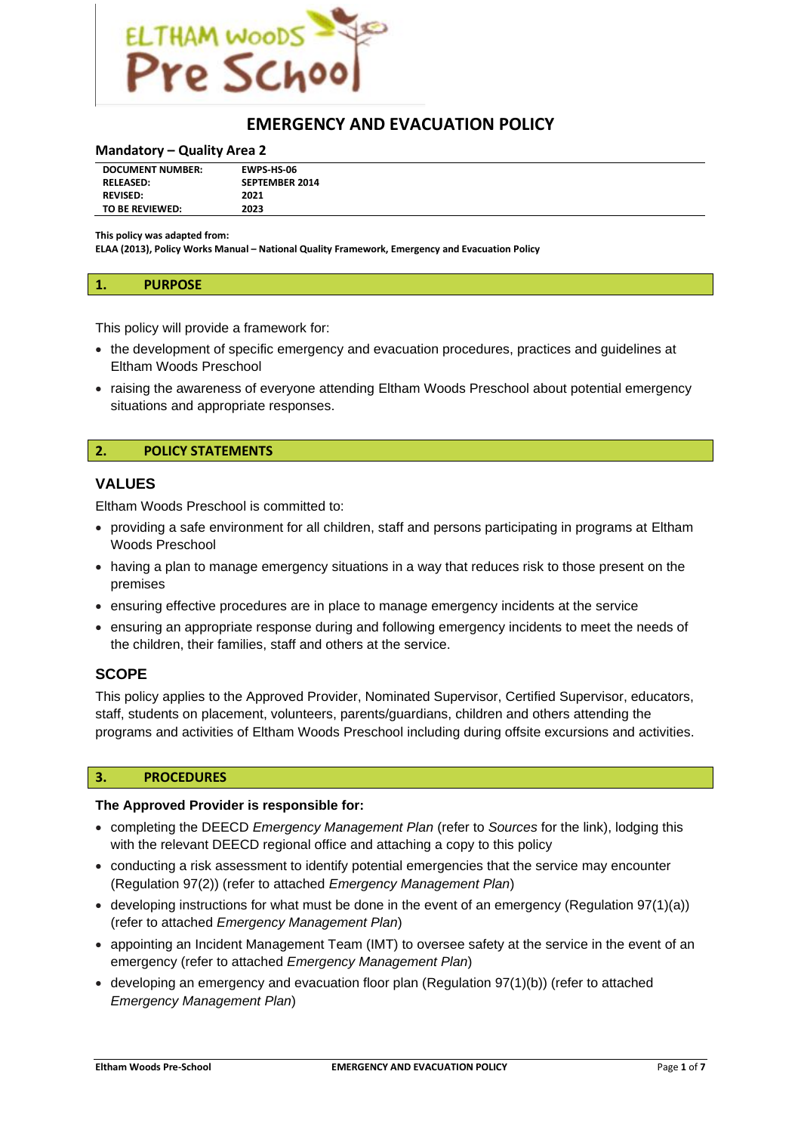

# **EMERGENCY AND EVACUATION POLICY**

#### **Mandatory – Quality Area 2**

| <b>DOCUMENT NUMBER:</b> | <b>EWPS HS-06</b>     |
|-------------------------|-----------------------|
| <b>RELEASED:</b>        | <b>SEPTEMBER 2014</b> |
| <b>REVISED:</b>         | 2021                  |
| TO BE REVIEWED:         | 2023                  |

**This policy was adapted from:**

**ELAA (2013), Policy Works Manual – National Quality Framework, Emergency and Evacuation Policy**

This policy will provide a framework for:

- the development of specific emergency and evacuation procedures, practices and guidelines at Eltham Woods Preschool
- raising the awareness of everyone attending Eltham Woods Preschool about potential emergency situations and appropriate responses.

#### **2. POLICY STATEMENTS**

#### **VALUES**

Eltham Woods Preschool is committed to:

- providing a safe environment for all children, staff and persons participating in programs at Eltham Woods Preschool
- having a plan to manage emergency situations in a way that reduces risk to those present on the premises
- ensuring effective procedures are in place to manage emergency incidents at the service
- ensuring an appropriate response during and following emergency incidents to meet the needs of the children, their families, staff and others at the service.

### **SCOPE**

This policy applies to the Approved Provider, Nominated Supervisor, Certified Supervisor, educators, staff, students on placement, volunteers, parents/guardians, children and others attending the programs and activities of Eltham Woods Preschool including during offsite excursions and activities.

#### **3. PROCEDURES**

#### **The Approved Provider is responsible for:**

- completing the DEECD *Emergency Management Plan* (refer to *Sources* for the link), lodging this with the relevant DEECD regional office and attaching a copy to this policy
- conducting a risk assessment to identify potential emergencies that the service may encounter (Regulation 97(2)) (refer to attached *Emergency Management Plan*)
- $\bullet$  developing instructions for what must be done in the event of an emergency (Regulation 97(1)(a)) (refer to attached *Emergency Management Plan*)
- appointing an Incident Management Team (IMT) to oversee safety at the service in the event of an emergency (refer to attached *Emergency Management Plan*)
- developing an emergency and evacuation floor plan (Regulation 97(1)(b)) (refer to attached *Emergency Management Plan*)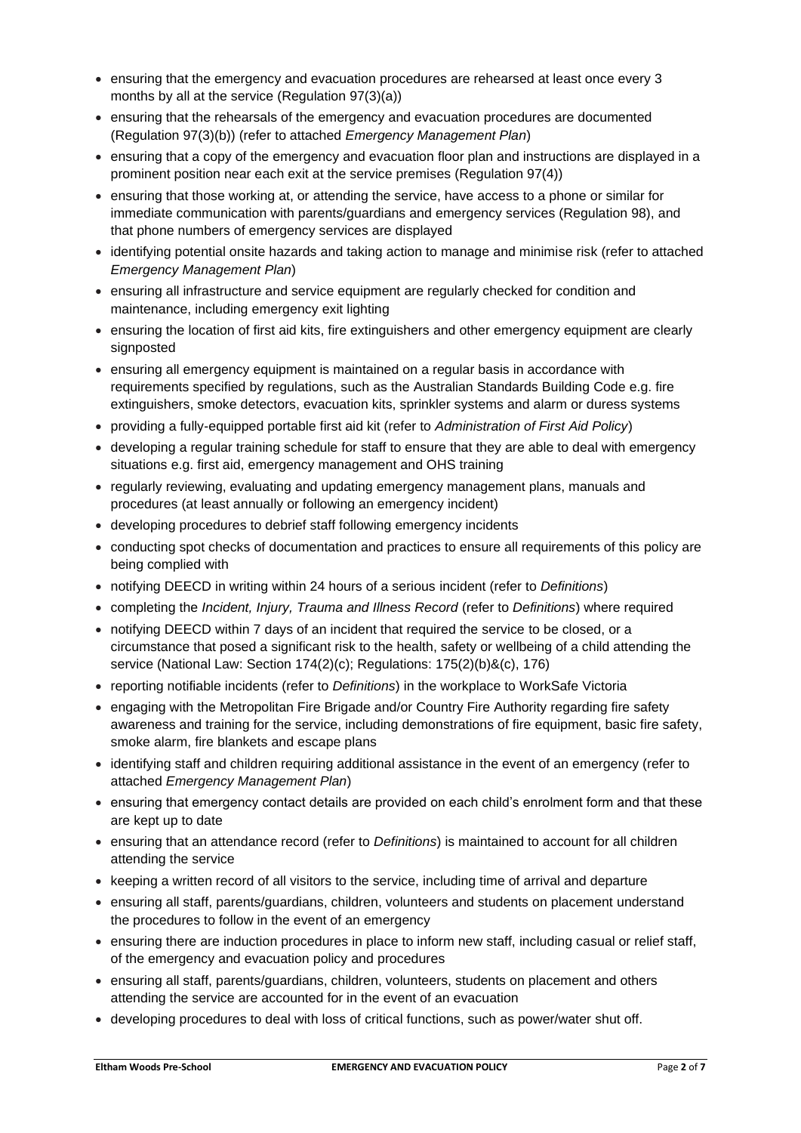- ensuring that the emergency and evacuation procedures are rehearsed at least once every 3 months by all at the service (Regulation 97(3)(a))
- ensuring that the rehearsals of the emergency and evacuation procedures are documented (Regulation 97(3)(b)) (refer to attached *Emergency Management Plan*)
- ensuring that a copy of the emergency and evacuation floor plan and instructions are displayed in a prominent position near each exit at the service premises (Regulation 97(4))
- ensuring that those working at, or attending the service, have access to a phone or similar for immediate communication with parents/guardians and emergency services (Regulation 98), and that phone numbers of emergency services are displayed
- identifying potential onsite hazards and taking action to manage and minimise risk (refer to attached *Emergency Management Plan*)
- ensuring all infrastructure and service equipment are regularly checked for condition and maintenance, including emergency exit lighting
- ensuring the location of first aid kits, fire extinguishers and other emergency equipment are clearly signposted
- ensuring all emergency equipment is maintained on a regular basis in accordance with requirements specified by regulations, such as the Australian Standards Building Code e.g. fire extinguishers, smoke detectors, evacuation kits, sprinkler systems and alarm or duress systems
- providing a fully-equipped portable first aid kit (refer to *Administration of First Aid Policy*)
- developing a regular training schedule for staff to ensure that they are able to deal with emergency situations e.g. first aid, emergency management and OHS training
- regularly reviewing, evaluating and updating emergency management plans, manuals and procedures (at least annually or following an emergency incident)
- developing procedures to debrief staff following emergency incidents
- conducting spot checks of documentation and practices to ensure all requirements of this policy are being complied with
- notifying DEECD in writing within 24 hours of a serious incident (refer to *Definitions*)
- completing the *Incident, Injury, Trauma and Illness Record* (refer to *Definitions*) where required
- notifying DEECD within 7 days of an incident that required the service to be closed, or a circumstance that posed a significant risk to the health, safety or wellbeing of a child attending the service (National Law: Section 174(2)(c); Regulations: 175(2)(b)&(c), 176)
- reporting notifiable incidents (refer to *Definitions*) in the workplace to WorkSafe Victoria
- engaging with the Metropolitan Fire Brigade and/or Country Fire Authority regarding fire safety awareness and training for the service, including demonstrations of fire equipment, basic fire safety, smoke alarm, fire blankets and escape plans
- identifying staff and children requiring additional assistance in the event of an emergency (refer to attached *Emergency Management Plan*)
- ensuring that emergency contact details are provided on each child's enrolment form and that these are kept up to date
- ensuring that an attendance record (refer to *Definitions*) is maintained to account for all children attending the service
- keeping a written record of all visitors to the service, including time of arrival and departure
- ensuring all staff, parents/guardians, children, volunteers and students on placement understand the procedures to follow in the event of an emergency
- ensuring there are induction procedures in place to inform new staff, including casual or relief staff, of the emergency and evacuation policy and procedures
- ensuring all staff, parents/guardians, children, volunteers, students on placement and others attending the service are accounted for in the event of an evacuation
- developing procedures to deal with loss of critical functions, such as power/water shut off.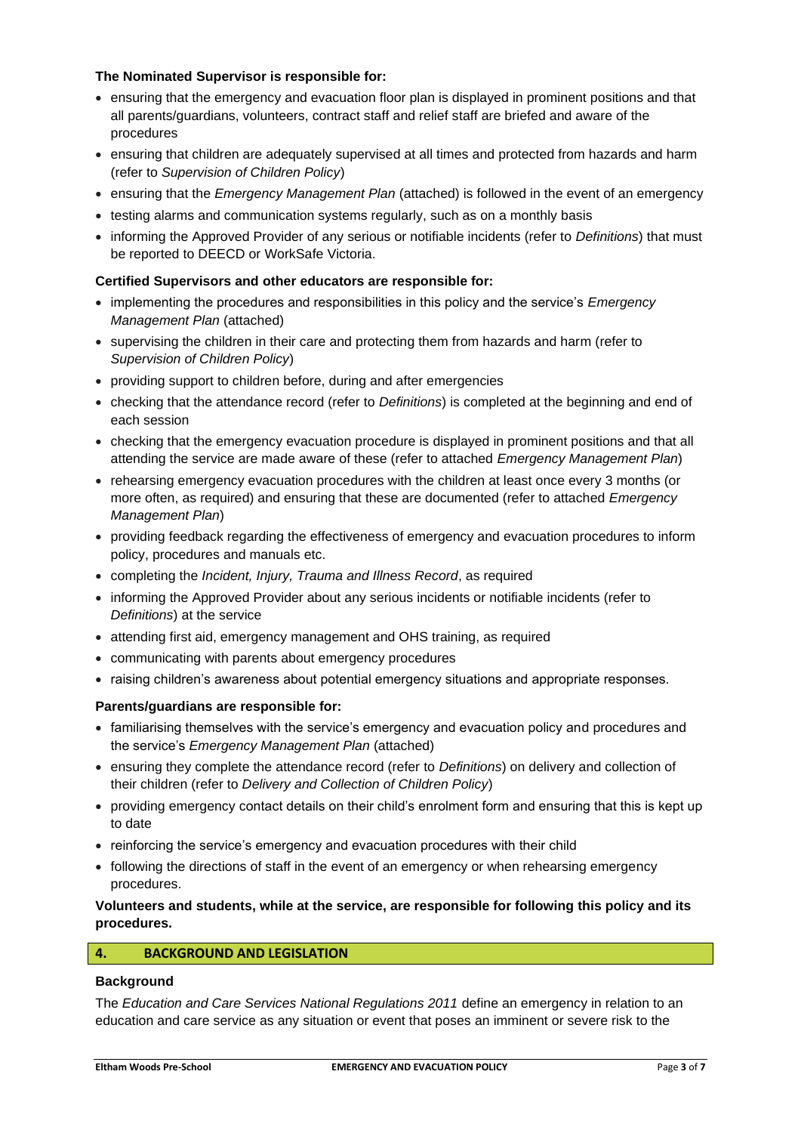### **The Nominated Supervisor is responsible for:**

- ensuring that the emergency and evacuation floor plan is displayed in prominent positions and that all parents/guardians, volunteers, contract staff and relief staff are briefed and aware of the procedures
- ensuring that children are adequately supervised at all times and protected from hazards and harm (refer to *Supervision of Children Policy*)
- ensuring that the *Emergency Management Plan* (attached) is followed in the event of an emergency
- testing alarms and communication systems regularly, such as on a monthly basis
- informing the Approved Provider of any serious or notifiable incidents (refer to *Definitions*) that must be reported to DEECD or WorkSafe Victoria.

### **Certified Supervisors and other educators are responsible for:**

- implementing the procedures and responsibilities in this policy and the service's *Emergency Management Plan* (attached)
- supervising the children in their care and protecting them from hazards and harm (refer to *Supervision of Children Policy*)
- providing support to children before, during and after emergencies
- checking that the attendance record (refer to *Definitions*) is completed at the beginning and end of each session
- checking that the emergency evacuation procedure is displayed in prominent positions and that all attending the service are made aware of these (refer to attached *Emergency Management Plan*)
- rehearsing emergency evacuation procedures with the children at least once every 3 months (or more often, as required) and ensuring that these are documented (refer to attached *Emergency Management Plan*)
- providing feedback regarding the effectiveness of emergency and evacuation procedures to inform policy, procedures and manuals etc.
- completing the *Incident, Injury, Trauma and Illness Record*, as required
- informing the Approved Provider about any serious incidents or notifiable incidents (refer to *Definitions*) at the service
- attending first aid, emergency management and OHS training, as required
- communicating with parents about emergency procedures
- raising children's awareness about potential emergency situations and appropriate responses.

### **Parents/guardians are responsible for:**

- familiarising themselves with the service's emergency and evacuation policy and procedures and the service's *Emergency Management Plan* (attached)
- ensuring they complete the attendance record (refer to *Definitions*) on delivery and collection of their children (refer to *Delivery and Collection of Children Policy*)
- providing emergency contact details on their child's enrolment form and ensuring that this is kept up to date
- reinforcing the service's emergency and evacuation procedures with their child
- following the directions of staff in the event of an emergency or when rehearsing emergency procedures.

### **Volunteers and students, while at the service, are responsible for following this policy and its procedures.**

### **4. BACKGROUND AND LEGISLATION**

### **Background**

The *Education and Care Services National Regulations 2011* define an emergency in relation to an education and care service as any situation or event that poses an imminent or severe risk to the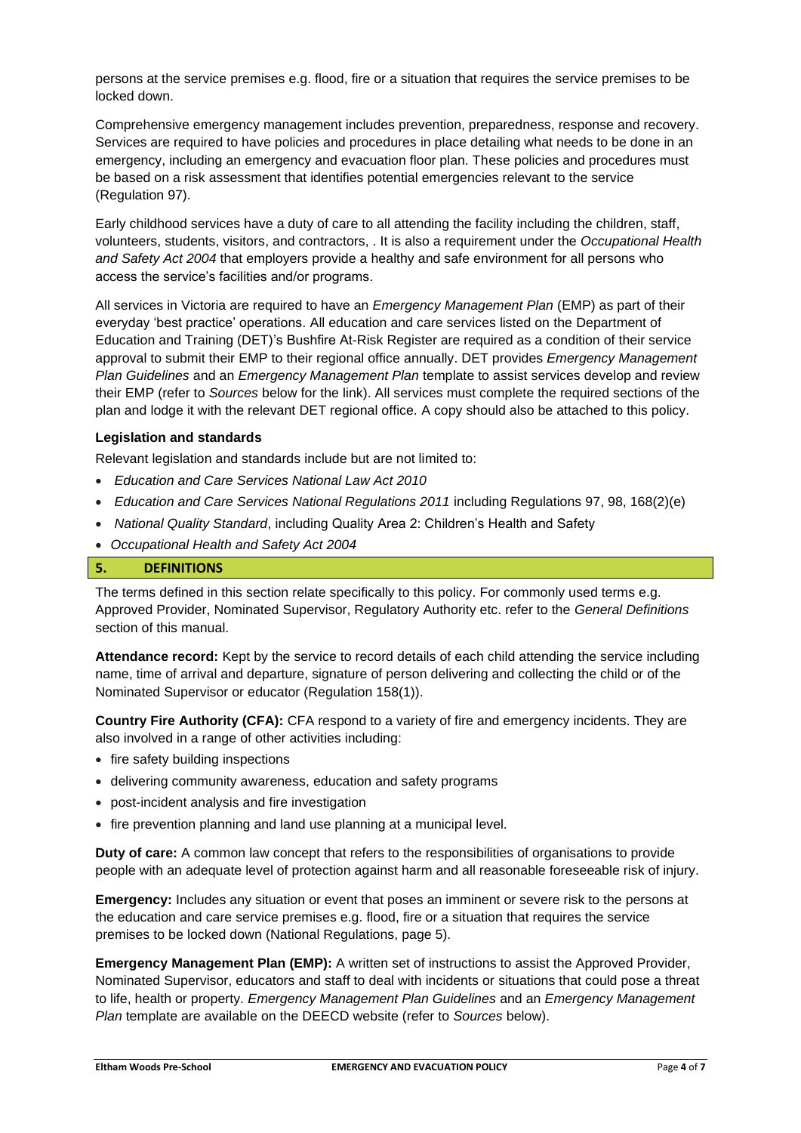persons at the service premises e.g. flood, fire or a situation that requires the service premises to be locked down.

Comprehensive emergency management includes prevention, preparedness, response and recovery. Services are required to have policies and procedures in place detailing what needs to be done in an emergency, including an emergency and evacuation floor plan. These policies and procedures must be based on a risk assessment that identifies potential emergencies relevant to the service (Regulation 97).

Early childhood services have a duty of care to all attending the facility including the children, staff, volunteers, students, visitors, and contractors, . It is also a requirement under the *Occupational Health and Safety Act 2004* that employers provide a healthy and safe environment for all persons who access the service's facilities and/or programs.

All services in Victoria are required to have an *Emergency Management Plan* (EMP) as part of their everyday 'best practice' operations. All education and care services listed on the Department of Education and Training (DET)'s Bushfire At-Risk Register are required as a condition of their service approval to submit their EMP to their regional office annually. DET provides *Emergency Management Plan Guidelines* and an *Emergency Management Plan* template to assist services develop and review their EMP (refer to *Sources* below for the link). All services must complete the required sections of the plan and lodge it with the relevant DET regional office. A copy should also be attached to this policy.

#### **Legislation and standards**

Relevant legislation and standards include but are not limited to:

- *Education and Care Services National Law Act 2010*
- *Education and Care Services National Regulations 2011* including Regulations 97, 98, 168(2)(e)
- *National Quality Standard*, including Quality Area 2: Children's Health and Safety
- *Occupational Health and Safety Act 2004*

### **5. DEFINITIONS**

The terms defined in this section relate specifically to this policy. For commonly used terms e.g. Approved Provider, Nominated Supervisor, Regulatory Authority etc. refer to the *General Definitions* section of this manual.

**Attendance record:** Kept by the service to record details of each child attending the service including name, time of arrival and departure, signature of person delivering and collecting the child or of the Nominated Supervisor or educator (Regulation 158(1)).

**Country Fire Authority (CFA):** CFA respond to a variety of fire and emergency incidents. They are also involved in a range of other activities including:

- fire safety building inspections
- delivering community awareness, education and safety programs
- post-incident analysis and fire investigation
- fire prevention planning and land use planning at a municipal level.

**Duty of care:** A common law concept that refers to the responsibilities of organisations to provide people with an adequate level of protection against harm and all reasonable foreseeable risk of injury.

**Emergency:** Includes any situation or event that poses an imminent or severe risk to the persons at the education and care service premises e.g. flood, fire or a situation that requires the service premises to be locked down (National Regulations, page 5).

**Emergency Management Plan (EMP):** A written set of instructions to assist the Approved Provider, Nominated Supervisor, educators and staff to deal with incidents or situations that could pose a threat to life, health or property. *Emergency Management Plan Guidelines* and an *Emergency Management Plan* template are available on the DEECD website (refer to *Sources* below).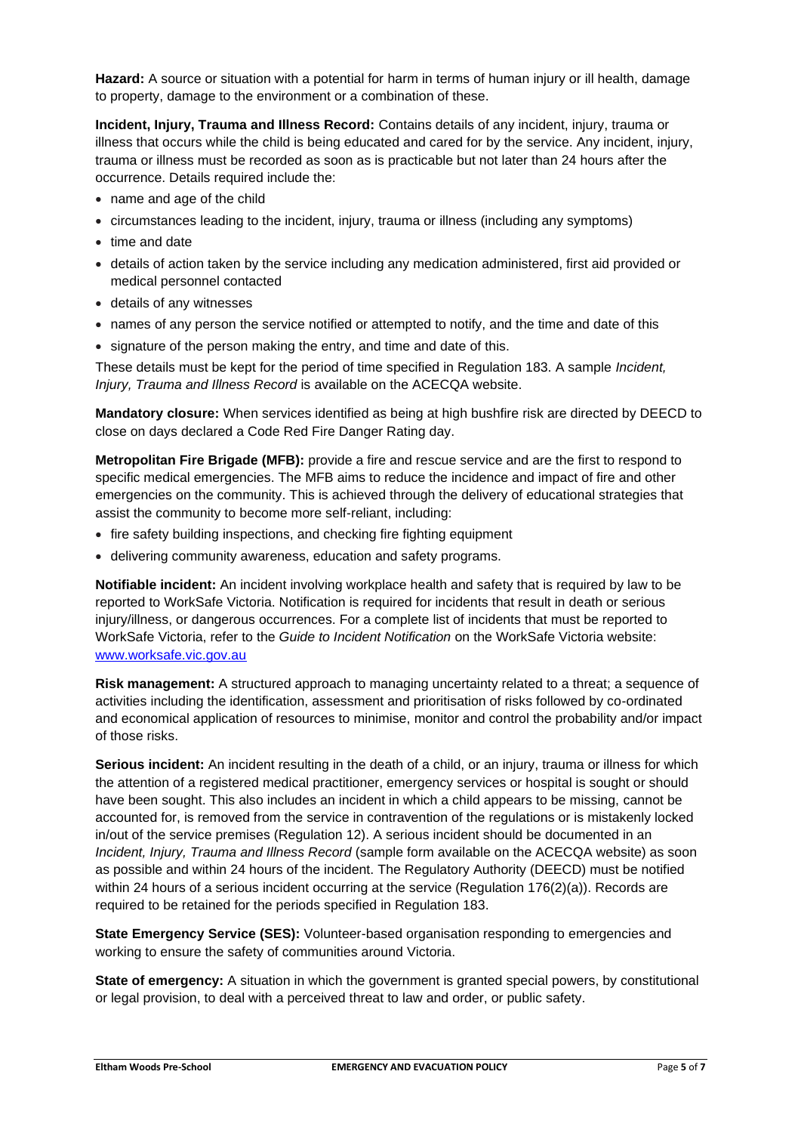**Hazard:** A source or situation with a potential for harm in terms of human injury or ill health, damage to property, damage to the environment or a combination of these.

**Incident, Injury, Trauma and Illness Record:** Contains details of any incident, injury, trauma or illness that occurs while the child is being educated and cared for by the service. Any incident, injury, trauma or illness must be recorded as soon as is practicable but not later than 24 hours after the occurrence. Details required include the:

- name and age of the child
- circumstances leading to the incident, injury, trauma or illness (including any symptoms)
- time and date
- details of action taken by the service including any medication administered, first aid provided or medical personnel contacted
- details of any witnesses
- names of any person the service notified or attempted to notify, and the time and date of this
- signature of the person making the entry, and time and date of this.

These details must be kept for the period of time specified in Regulation 183. A sample *Incident, Injury, Trauma and Illness Record* is available on the ACECQA website.

**Mandatory closure:** When services identified as being at high bushfire risk are directed by DEECD to close on days declared a Code Red Fire Danger Rating day.

**Metropolitan Fire Brigade (MFB):** provide a fire and rescue service and are the first to respond to specific medical emergencies. The MFB aims to reduce the incidence and impact of fire and other emergencies on the community. This is achieved through the delivery of educational strategies that assist the community to become more self-reliant, including:

- fire safety building inspections, and checking fire fighting equipment
- delivering community awareness, education and safety programs.

**Notifiable incident:** An incident involving workplace health and safety that is required by law to be reported to WorkSafe Victoria. Notification is required for incidents that result in death or serious injury/illness, or dangerous occurrences. For a complete list of incidents that must be reported to WorkSafe Victoria, refer to the *Guide to Incident Notification* on the WorkSafe Victoria website: [www.worksafe.vic.gov.au](http://www.worksafe.vic.gov.au/)

**Risk management:** A structured approach to managing uncertainty related to a threat; a sequence of activities including the identification, assessment and prioritisation of risks followed by co-ordinated and economical application of resources to minimise, monitor and control the probability and/or impact of those risks.

**Serious incident:** An incident resulting in the death of a child, or an injury, trauma or illness for which the attention of a registered medical practitioner, emergency services or hospital is sought or should have been sought. This also includes an incident in which a child appears to be missing, cannot be accounted for, is removed from the service in contravention of the regulations or is mistakenly locked in/out of the service premises (Regulation 12). A serious incident should be documented in an *Incident, Injury, Trauma and Illness Record* (sample form available on the ACECQA website) as soon as possible and within 24 hours of the incident. The Regulatory Authority (DEECD) must be notified within 24 hours of a serious incident occurring at the service (Regulation 176(2)(a)). Records are required to be retained for the periods specified in Regulation 183.

**State Emergency Service (SES):** Volunteer-based organisation responding to emergencies and working to ensure the safety of communities around Victoria.

**State of emergency:** A situation in which the government is granted special powers, by constitutional or legal provision, to deal with a perceived threat to law and order, or public safety.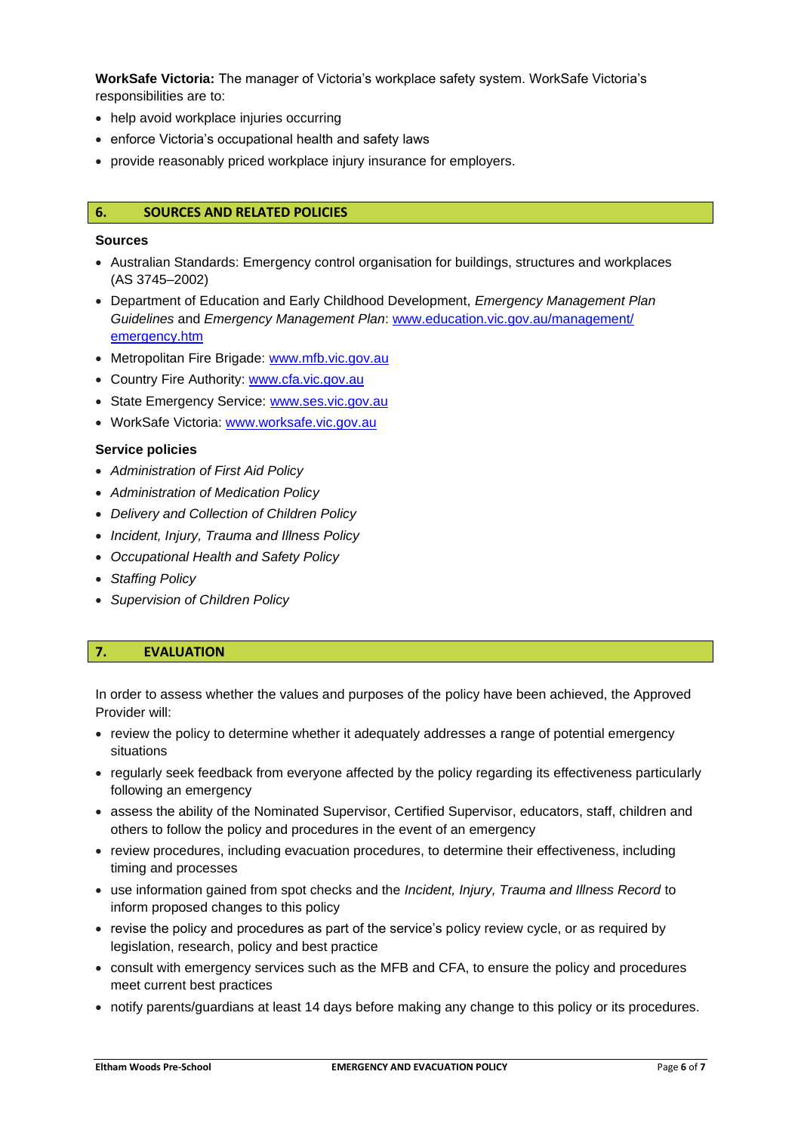**WorkSafe Victoria:** The manager of Victoria's workplace safety system. WorkSafe Victoria's responsibilities are to:

- help avoid workplace injuries occurring
- enforce Victoria's occupational health and safety laws
- provide reasonably priced workplace injury insurance for employers.

#### **6. SOURCES AND RELATED POLICIES**

#### **Sources**

- Australian Standards: Emergency control organisation for buildings, structures and workplaces (AS 3745–2002)
- Department of Education and Early Childhood Development, *Emergency Management Plan Guidelines* and *Emergency Management Plan*: [www.education.vic.gov.au/management/](http://www.education.vic.gov.au/management/emergency.htm) [emergency.htm](http://www.education.vic.gov.au/management/emergency.htm)
- Metropolitan Fire Brigade: [www.mfb.vic.gov.au](http://www.mfb.vic.gov.au/)
- Country Fire Authority: [www.cfa.vic.gov.au](http://www.cfa.vic.gov.au/)
- State Emergency Service: [www.ses.vic.gov.au](http://www.ses.vic.gov.au/)
- WorkSafe Victoria: [www.worksafe.vic.gov.au](http://www.worksafe.vic.gov.au/)

#### **Service policies**

- *Administration of First Aid Policy*
- *Administration of Medication Policy*
- *Delivery and Collection of Children Policy*
- *Incident, Injury, Trauma and Illness Policy*
- *Occupational Health and Safety Policy*
- *Staffing Policy*
- *Supervision of Children Policy*

#### **7. EVALUATION**

In order to assess whether the values and purposes of the policy have been achieved, the Approved Provider will:

- review the policy to determine whether it adequately addresses a range of potential emergency situations
- regularly seek feedback from everyone affected by the policy regarding its effectiveness particularly following an emergency
- assess the ability of the Nominated Supervisor, Certified Supervisor, educators, staff, children and others to follow the policy and procedures in the event of an emergency
- review procedures, including evacuation procedures, to determine their effectiveness, including timing and processes
- use information gained from spot checks and the *Incident, Injury, Trauma and Illness Record* to inform proposed changes to this policy
- revise the policy and procedures as part of the service's policy review cycle, or as required by legislation, research, policy and best practice
- consult with emergency services such as the MFB and CFA, to ensure the policy and procedures meet current best practices
- notify parents/guardians at least 14 days before making any change to this policy or its procedures.